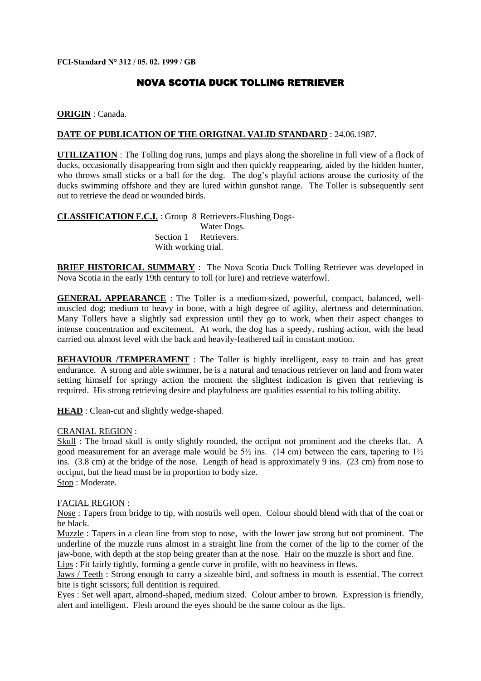**FCI-Standard N° 312 / 05. 02. 1999 / GB**

# NOVA SCOTIA DUCK TOLLING RETRIEVER

**ORIGIN** : Canada.

#### **DATE OF PUBLICATION OF THE ORIGINAL VALID STANDARD** : 24.06.1987.

**UTILIZATION** : The Tolling dog runs, jumps and plays along the shoreline in full view of a flock of ducks, occasionally disappearing from sight and then quickly reappearing, aided by the hidden hunter, who throws small sticks or a ball for the dog. The dog's playful actions arouse the curiosity of the ducks swimming offshore and they are lured within gunshot range. The Toller is subsequently sent out to retrieve the dead or wounded birds.

**CLASSIFICATION F.C.I.** : Group 8 Retrievers-Flushing Dogs-Water Dogs. Section 1 Retrievers With working trial.

**BRIEF HISTORICAL SUMMARY** : The Nova Scotia Duck Tolling Retriever was developed in Nova Scotia in the early 19th century to toll (or lure) and retrieve waterfowl.

**GENERAL APPEARANCE** : The Toller is a medium-sized, powerful, compact, balanced, wellmuscled dog; medium to heavy in bone, with a high degree of agility, alertness and determination. Many Tollers have a slightly sad expression until they go to work, when their aspect changes to intense concentration and excitement. At work, the dog has a speedy, rushing action, with the head carried out almost level with the back and heavily-feathered tail in constant motion.

**BEHAVIOUR /TEMPERAMENT** : The Toller is highly intelligent, easy to train and has great endurance. A strong and able swimmer, he is a natural and tenacious retriever on land and from water setting himself for springy action the moment the slightest indication is given that retrieving is required. His strong retrieving desire and playfulness are qualities essential to his tolling ability.

**HEAD** : Clean-cut and slightly wedge-shaped.

#### CRANIAL REGION :

Skull : The broad skull is ontly slightly rounded, the occiput not prominent and the cheeks flat. A good measurement for an average male would be  $5\frac{1}{2}$  ins. (14 cm) between the ears, tapering to  $1\frac{1}{2}$ ins. (3.8 cm) at the bridge of the nose. Length of head is approximately 9 ins. (23 cm) from nose to occiput, but the head must be in proportion to body size. Stop : Moderate.

#### FACIAL REGION :

Nose : Tapers from bridge to tip, with nostrils well open. Colour should blend with that of the coat or be black.

Muzzle : Tapers in a clean line from stop to nose, with the lower jaw strong but not prominent. The underline of the muzzle runs almost in a straight line from the corner of the lip to the corner of the jaw-bone, with depth at the stop being greater than at the nose. Hair on the muzzle is short and fine. Lips : Fit fairly tightly, forming a gentle curve in profile, with no heaviness in flews.

Jaws / Teeth : Strong enough to carry a sizeable bird, and softness in mouth is essential. The correct bite is tight scissors; full dentition is required.

Eyes : Set well apart, almond-shaped, medium sized. Colour amber to brown. Expression is friendly, alert and intelligent. Flesh around the eyes should be the same colour as the lips.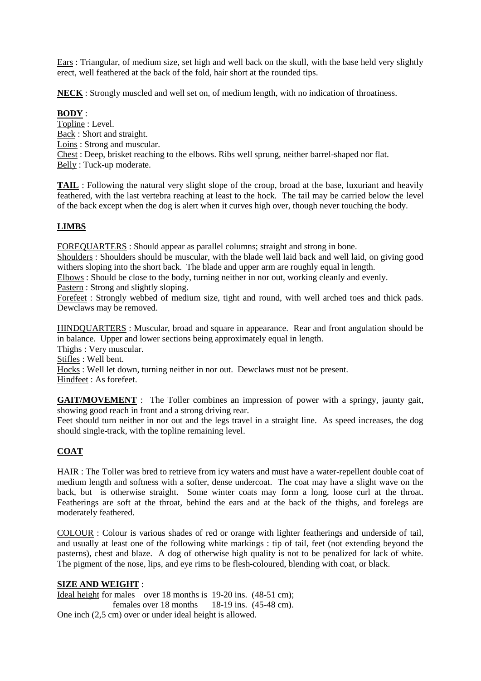Ears : Triangular, of medium size, set high and well back on the skull, with the base held very slightly erect, well feathered at the back of the fold, hair short at the rounded tips.

**NECK** : Strongly muscled and well set on, of medium length, with no indication of throatiness.

## **BODY** :

Topline : Level. Back : Short and straight. Loins : Strong and muscular. Chest : Deep, brisket reaching to the elbows. Ribs well sprung, neither barrel-shaped nor flat. Belly : Tuck-up moderate.

**TAIL** : Following the natural very slight slope of the croup, broad at the base, luxuriant and heavily feathered, with the last vertebra reaching at least to the hock. The tail may be carried below the level of the back except when the dog is alert when it curves high over, though never touching the body.

# **LIMBS**

FOREQUARTERS : Should appear as parallel columns; straight and strong in bone.

Shoulders : Shoulders should be muscular, with the blade well laid back and well laid, on giving good withers sloping into the short back. The blade and upper arm are roughly equal in length.

Elbows : Should be close to the body, turning neither in nor out, working cleanly and evenly.

Pastern : Strong and slightly sloping.

Forefeet : Strongly webbed of medium size, tight and round, with well arched toes and thick pads. Dewclaws may be removed.

HINDQUARTERS : Muscular, broad and square in appearance. Rear and front angulation should be in balance. Upper and lower sections being approximately equal in length.

Thighs : Very muscular.

Stifles : Well bent.

Hocks : Well let down, turning neither in nor out. Dewclaws must not be present. Hindfeet : As forefeet.

**GAIT/MOVEMENT** : The Toller combines an impression of power with a springy, jaunty gait, showing good reach in front and a strong driving rear.

Feet should turn neither in nor out and the legs travel in a straight line. As speed increases, the dog should single-track, with the topline remaining level.

# **COAT**

HAIR : The Toller was bred to retrieve from icy waters and must have a water-repellent double coat of medium length and softness with a softer, dense undercoat. The coat may have a slight wave on the back, but is otherwise straight. Some winter coats may form a long, loose curl at the throat. Featherings are soft at the throat, behind the ears and at the back of the thighs, and forelegs are moderately feathered.

COLOUR : Colour is various shades of red or orange with lighter featherings and underside of tail, and usually at least one of the following white markings : tip of tail, feet (not extending beyond the pasterns), chest and blaze. A dog of otherwise high quality is not to be penalized for lack of white. The pigment of the nose, lips, and eye rims to be flesh-coloured, blending with coat, or black.

## **SIZE AND WEIGHT** :

Ideal height for males over 18 months is 19-20 ins. (48-51 cm): females over 18 months 18-19 ins. (45-48 cm). One inch (2,5 cm) over or under ideal height is allowed.